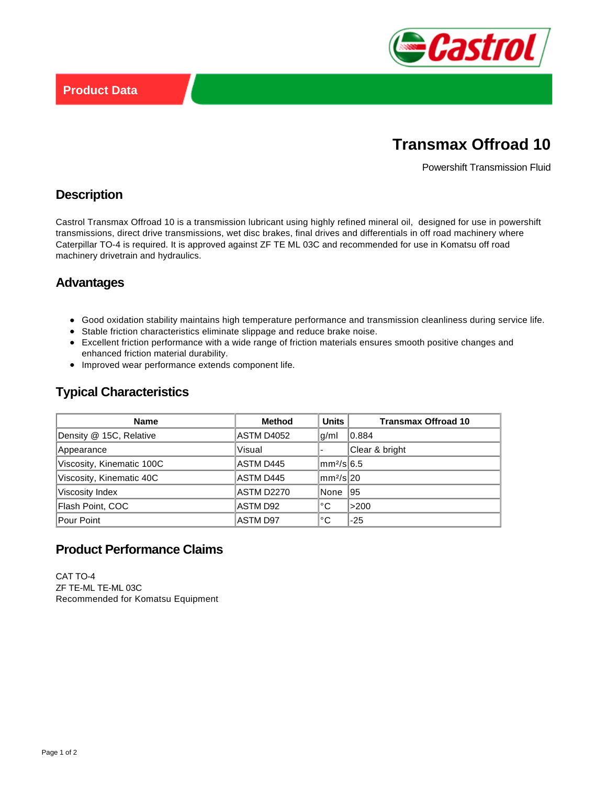

# **Transmax Offroad 10**

Powershift Transmission Fluid

### **Description**

Castrol Transmax Offroad 10 is a transmission lubricant using highly refined mineral oil, designed for use in powershift transmissions, direct drive transmissions, wet disc brakes, final drives and differentials in off road machinery where Caterpillar TO-4 is required. It is approved against ZF TE ML 03C and recommended for use in Komatsu off road machinery drivetrain and hydraulics.

#### **Advantages**

- Good oxidation stability maintains high temperature performance and transmission cleanliness during service life.
- Stable friction characteristics eliminate slippage and reduce brake noise.
- Excellent friction performance with a wide range of friction materials ensures smooth positive changes and enhanced friction material durability.
- Improved wear performance extends component life.

### **Typical Characteristics**

| <b>Name</b>               | <b>Method</b> | <b>Units</b>             | <b>Transmax Offroad 10</b> |
|---------------------------|---------------|--------------------------|----------------------------|
| Density @ 15C, Relative   | ASTM D4052    | g/ml                     | 10.884                     |
| Appearance                | Visual        | $\overline{\phantom{0}}$ | Clear & bright             |
| Viscosity, Kinematic 100C | ASTM D445     | $\rm  mm^2/s 6.5$        |                            |
| Viscosity, Kinematic 40C  | ASTM D445     | $\rm  mm^2/s 20$         |                            |
| Viscosity Index           | ASTM D2270    | None                     | 95                         |
| Flash Point, COC          | ASTM D92      | °C                       | >200                       |
| Pour Point                | ASTM D97      | °C                       | $-25$                      |

## **Product Performance Claims**

CAT TO-4 ZF TE-ML TE-ML 03C Recommended for Komatsu Equipment